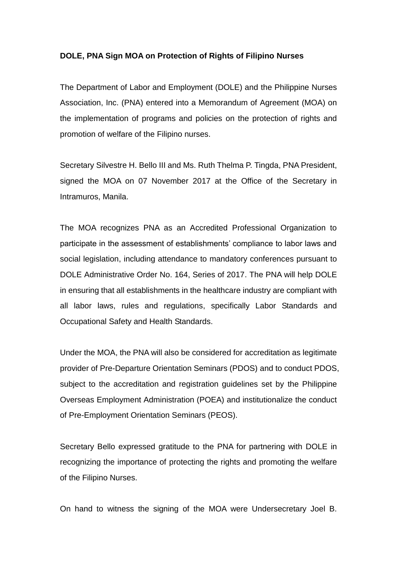## **DOLE, PNA Sign MOA on Protection of Rights of Filipino Nurses**

The Department of Labor and Employment (DOLE) and the Philippine Nurses Association, Inc. (PNA) entered into a Memorandum of Agreement (MOA) on the implementation of programs and policies on the protection of rights and promotion of welfare of the Filipino nurses.

Secretary Silvestre H. Bello III and Ms. Ruth Thelma P. Tingda, PNA President, signed the MOA on 07 November 2017 at the Office of the Secretary in Intramuros, Manila.

The MOA recognizes PNA as an Accredited Professional Organization to participate in the assessment of establishments' compliance to labor laws and social legislation, including attendance to mandatory conferences pursuant to DOLE Administrative Order No. 164, Series of 2017. The PNA will help DOLE in ensuring that all establishments in the healthcare industry are compliant with all labor laws, rules and regulations, specifically Labor Standards and Occupational Safety and Health Standards.

Under the MOA, the PNA will also be considered for accreditation as legitimate provider of Pre-Departure Orientation Seminars (PDOS) and to conduct PDOS, subject to the accreditation and registration guidelines set by the Philippine Overseas Employment Administration (POEA) and institutionalize the conduct of Pre-Employment Orientation Seminars (PEOS).

Secretary Bello expressed gratitude to the PNA for partnering with DOLE in recognizing the importance of protecting the rights and promoting the welfare of the Filipino Nurses.

On hand to witness the signing of the MOA were Undersecretary Joel B.